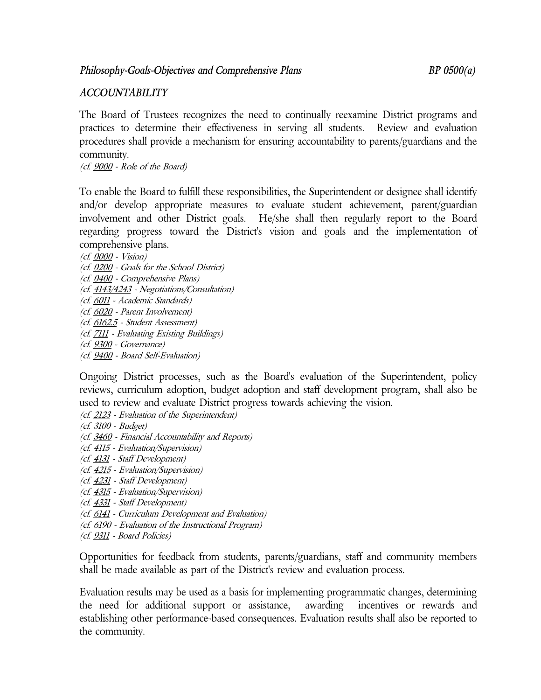## *ACCOUNTABILITY*

The Board of Trustees recognizes the need to continually reexamine District programs and practices to determine their effectiveness in serving all students. Review and evaluation procedures shall provide a mechanism for ensuring accountability to parents/guardians and the community.

(cf. 9000 - Role of the Board)

To enable the Board to fulfill these responsibilities, the Superintendent or designee shall identify and/or develop appropriate measures to evaluate student achievement, parent/guardian involvement and other District goals. He/she shall then regularly report to the Board regarding progress toward the District's vision and goals and the implementation of comprehensive plans.

(cf. 0000 - Vision)

- (cf. 0400 Comprehensive Plans)
- (cf. 4143/4243 Negotiations/Consultation)
- (cf. 6011 Academic Standards)
- (cf. 6020 Parent Involvement)
- (cf. 6162.5 Student Assessment)
- (cf. 7111 Evaluating Existing Buildings)
- (cf. 9300 Governance)
- (cf. 9400 Board Self-Evaluation)

Ongoing District processes, such as the Board's evaluation of the Superintendent, policy reviews, curriculum adoption, budget adoption and staff development program, shall also be used to review and evaluate District progress towards achieving the vision.

- (cf. 2123 Evaluation of the Superintendent)
- (cf. 3100 Budget)
- (cf. 3460 Financial Accountability and Reports)
- (cf. 4115 Evaluation/Supervision)
- (cf. 4131 Staff Development)
- (cf. 4215 Evaluation/Supervision)
- (cf. 4231 Staff Development)
- (cf. 4315 Evaluation/Supervision)
- (cf. 4331 Staff Development)
- (cf. 6141 Curriculum Development and Evaluation)
- (cf. 6190 Evaluation of the Instructional Program)
- (cf. 9311 Board Policies)

Opportunities for feedback from students, parents/guardians, staff and community members shall be made available as part of the District's review and evaluation process.

Evaluation results may be used as a basis for implementing programmatic changes, determining the need for additional support or assistance, awarding incentives or rewards and establishing other performance-based consequences. Evaluation results shall also be reported to the community.

<sup>(</sup>cf. 0200 - Goals for the School District)